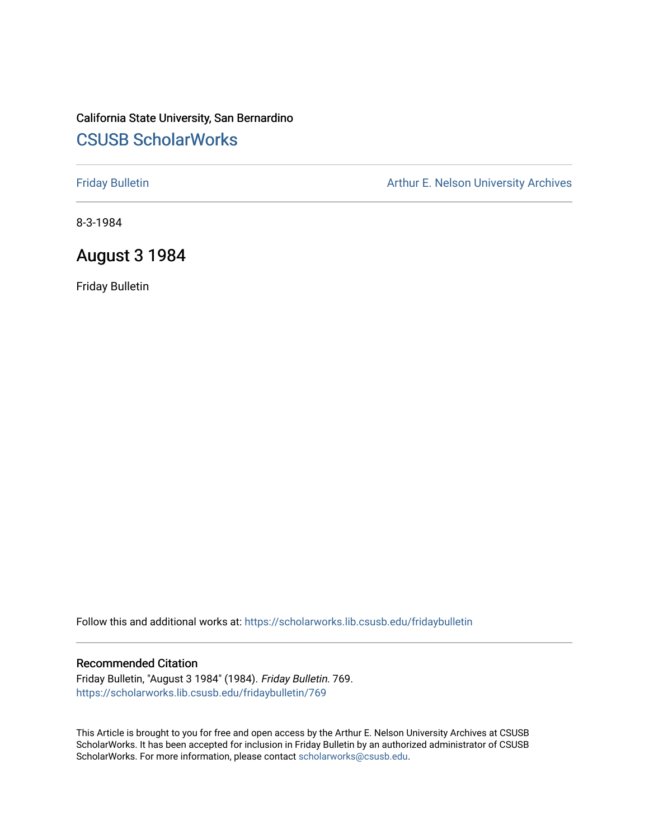# California State University, San Bernardino [CSUSB ScholarWorks](https://scholarworks.lib.csusb.edu/)

[Friday Bulletin](https://scholarworks.lib.csusb.edu/fridaybulletin) **Arthur E. Nelson University Archives** Arthur E. Nelson University Archives

8-3-1984

# August 3 1984

Friday Bulletin

Follow this and additional works at: [https://scholarworks.lib.csusb.edu/fridaybulletin](https://scholarworks.lib.csusb.edu/fridaybulletin?utm_source=scholarworks.lib.csusb.edu%2Ffridaybulletin%2F769&utm_medium=PDF&utm_campaign=PDFCoverPages)

#### Recommended Citation

Friday Bulletin, "August 3 1984" (1984). Friday Bulletin. 769. [https://scholarworks.lib.csusb.edu/fridaybulletin/769](https://scholarworks.lib.csusb.edu/fridaybulletin/769?utm_source=scholarworks.lib.csusb.edu%2Ffridaybulletin%2F769&utm_medium=PDF&utm_campaign=PDFCoverPages)

This Article is brought to you for free and open access by the Arthur E. Nelson University Archives at CSUSB ScholarWorks. It has been accepted for inclusion in Friday Bulletin by an authorized administrator of CSUSB ScholarWorks. For more information, please contact [scholarworks@csusb.edu.](mailto:scholarworks@csusb.edu)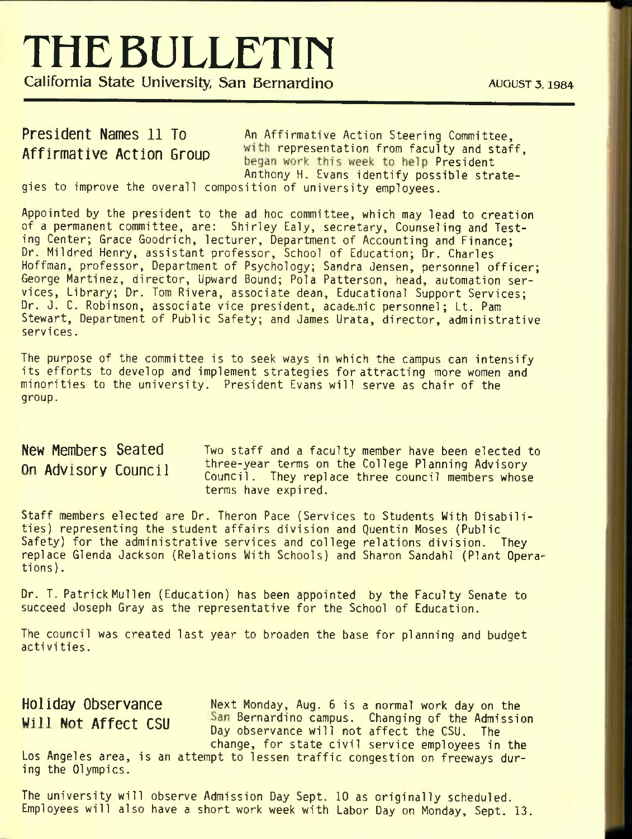# **THEBULLETin**

**California State University, San Bernardino <b>***AUGUST 3, 1984* 

President Names 11 To An Affirmative Action Steering Committee, Affirmative Action Group with representation from faculty and staff. began work this week to help President<br>Anthony H. Evans identify possible strate-

gies to improve the overall composition of university employees.

Appointed by the president to the ad hoc committee, which may lead to creation of a permanent committee, are: Shirley Ealy, secretary. Counseling and Testing Center; Grace Goodrich, lecturer. Department of Accounting and Finance; Dr. Mildred Henry, assistant professor. School of Education; Dr. Charles Hoffman, professor. Department of Psychology; Sandra Jensen, personnel officer; George Martinez, director. Upward Bound; Pola Patterson, head, automation services, Library; Dr. Tom Rivera, associate dean. Educational Support Services; Dr. J. C. Robinson, associate vice president, acade.nic personnel; Lt. Pam Stewart, Department of Public Safety; and James Urata, director, administrative services.

The purpose of the committee is to seek ways in which the campus can intensify its efforts to develop and implement strategies for attracting more women and minorities to the university. President Evans will serve as chair of the group.

New Members Seated Two staff and a faculty member have been elected to On Advisory Council three-year terms on the College Planning Advisory Council. They replace three council members whose terms have expired.

Staff members elected are Dr. Theron Pace (Services to Students With Disabilities) representing the student affairs division and Quentin Moses (Public Safety) for the administrative services and college relations division. They replace Glenda Jackson (Relations With Schools) and Sharon Sandahl (Plant Operations) .

Dr. T. Patrick Mullen (Education) has been appointed by the Faculty Senate to succeed Joseph Gray as the representative for the School of Education.

The council was created last year to broaden the base for planning and budget activities.

Holiday Observance Mext Monday, Aug. 6 is a normal work day on the Will Not Affect CSII San Bernardino campus. Changing of the Admission Day observance will not affect the CSU. The change, for state civil service employees in the Los Angeles area, is an attempt to lessen traffic congestion on freeways during the Olympics.

The university will observe Admission Day Sept. 10 as originally scheduled. Employees will also have a short work week with Labor Day on Monday, Sept. 13.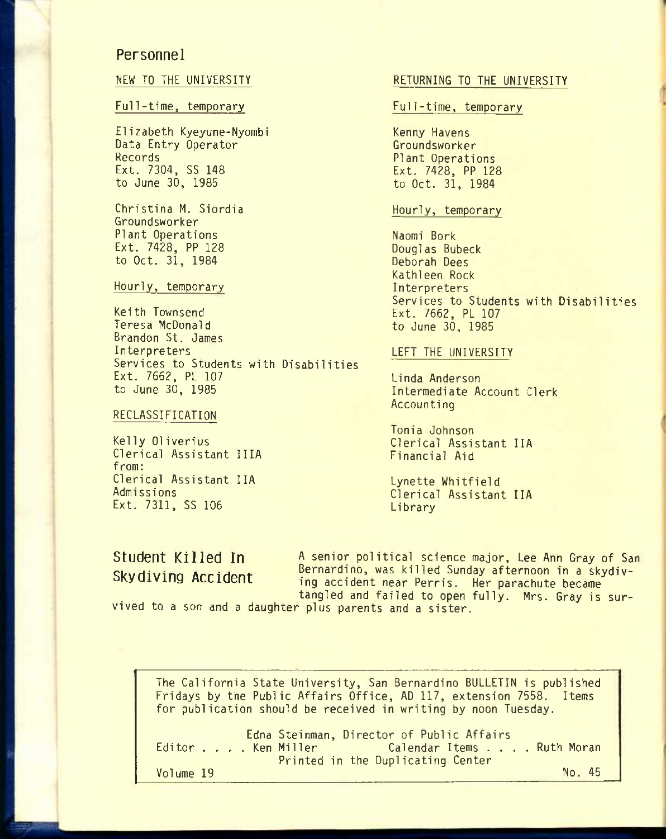### **Personnel**

#### Full-time, temporary entitled and the Full-time, temporary

Elizabeth Kyeyune-Nyombi Kenny Havens<br>Data Entry Operator Kenny Kenny Havens Data Entry Operator<sup>1</sup><br>Records Records<br>Ext. 7304, SS 148 Plant Operations<br>Ext. 7428, PP 128 Ext. 7304, SS 148<br>
to June 30, 1985<br>
to Oct. 31, 1984

Christina M. Siordia **Hourly, temporary** Groundsworker Plant Operations Naomi Bork Ext. 7428, PP 128 Douglas Bubeck<br>to Oct. 31, 1984 Deborah Dees to Oct. 31, 1984

#### Hourly, temporary

Keith Townsend Ext. 7662, PL 107 Brandon St. James Interpreters LEFT THE UNIVERSITY Services to Students with Disabilities Ext. 7662, PL 107<br>to June 30, 1985 Linda Anderson

#### RECLASSIFICATION

Clerical Assistant IIIA from: Clerical Assistant IIA Lynette Whitfield Ext. 7311, SS 106

### NEW TO THE UNIVERSITY **RETURNING TO THE UNIVERSITY**

to Oct. 31, 1984

Kathleen Rock Services to Students with Disabilities to June 30, 1985

Intermediate Account Clerk Accounting

Tonia Johnson Kelly 01iverius Clerical Assistant IIA

Clerical Assistant IIA<br>Library

**Student Killed In** *A* **senior political science major, Lee Ann Gray of San** Skydiving Accident Bernardino, was killed Sunday afternoon in a skydiving accident near Perris. Her parachute became tangled and failed to open fully. Mrs. Gray is sur-

vived to a son and a daughter plus parents and a sister.

The California State University, San Bernardino BULLETIN is published Fridays by the Public Affairs Office, AD 117, extension 7558. Items for publication should be received in writing by noon Tuesday.

|           | Edna Steinman, Director of Public Affairs   |        |
|-----------|---------------------------------------------|--------|
|           | Editor Ken Miller Calendar Items Ruth Moran |        |
|           | Printed in the Duplicating Center           |        |
| Volume 19 |                                             | No. 45 |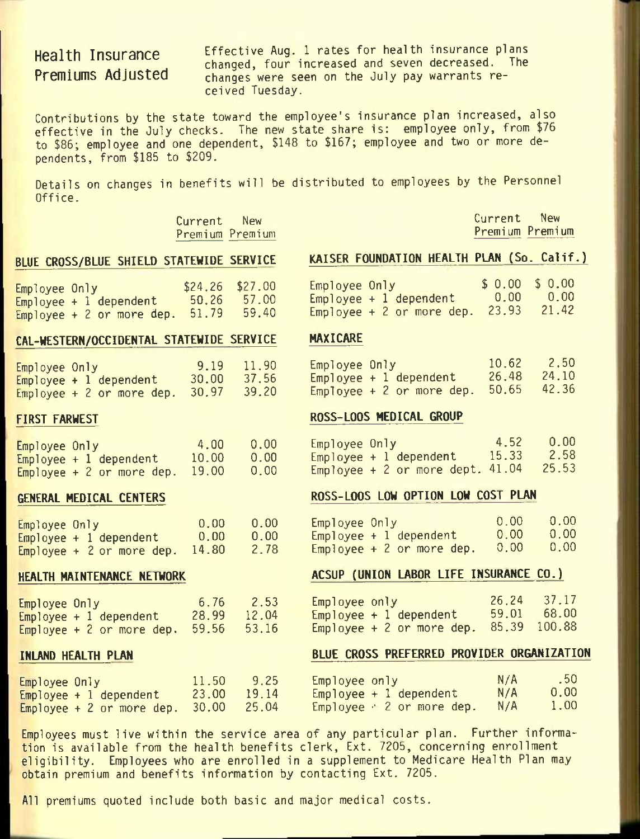# **Health Insurance Premiums Adjusted**

Effective Aug. 1 rates for health insurance plans changed, four increased and seven decreased. The changes were seen on the July pay warrants received Tuesday.

Contributions by the state toward the employee's insurance plan increased, also effective in the July checks. The new state share is: employee only, from \$76 to \$86; employee and one dependent, \$148 to \$167; employee and two or more dependents, from \$185 to \$209.

Details on changes in benefits will be distributed to employees by the Personnel Office.

> Current New Premium Premium

Current New Premium Premium

| Employee Only               |  |  | $$24.26$ $$27.00$ |       |
|-----------------------------|--|--|-------------------|-------|
| $Emplove + 1 dependent$     |  |  | 50.26             | 57.00 |
| Employee + $2$ or more dep. |  |  | 51.79             | 59.40 |

### CAL-WESTERN/OCCIDENTAL STATEWIDE SERVICE HAXICARE

| Employee Only |                            | 9.19  | 11.90 |
|---------------|----------------------------|-------|-------|
|               | $Employee + 1 dependent$   | 30.00 | 37.56 |
|               | Employee $+2$ or more dep. | 30.97 | 39.20 |

#### FIRST FARWEST

| Employee Only |                            | 4.00  | 0.00              |
|---------------|----------------------------|-------|-------------------|
|               | $Emplope + 1 dependent$    | 10.00 | 0.00              |
|               | Employee $+2$ or more dep. | 19.00 | 0.00 <sub>1</sub> |

#### GENERAL MEDICAL CENTERS

| Employee Only |                            | 0.00  | 0.00 |
|---------------|----------------------------|-------|------|
|               | $Emplogee + 1 dependent$   | 0.00  | 0.00 |
|               | Employee $+2$ or more dep. | 14.80 | 2.78 |

#### HEALTH MAINTENANCE NETWORK

| Employee Only              |  |  | 6.76  | 2.53  |
|----------------------------|--|--|-------|-------|
| $Emplope + 1 dependent$    |  |  | 28,99 | 12.04 |
| Employee $+2$ or more dep. |  |  | 59.56 | 53.16 |

#### INLAND HEALTH PLAN

### BLUE CROSS/BLUE SHIELD STATEWIDE SERVICE KAISER FOUNDATION HEALTH PLAN (So. Calif.)

| Employee Only' |                           | $$0.00$$ $$0.00$ |       |
|----------------|---------------------------|------------------|-------|
|                | $Emplogee + 1 dependent$  | 0.00             | 0.00  |
|                | Employee + 2 or more dep. | 23.93            | 21.42 |

| Employee Only' |                           | 10.62 | 2.50  |
|----------------|---------------------------|-------|-------|
|                | $Employee + 1 dependent$  | 26.48 | 24.10 |
|                | Employee + 2 or more dep. | 50.65 | 42.36 |

#### ROSS-LOOS MEDICAL GROUP

| Employee Only |                                      | 4.52  | 0.00  |
|---------------|--------------------------------------|-------|-------|
|               | $Emplogee + 1 dependent$             | 15.33 | 2.58  |
|               | $Employee + 2$ or more dept. $41.04$ |       | 25.53 |

#### ROSS-LOOS LOW OPTION LOW COST PLAN

| Employee Only |                            | 0.00 | 0.00 |
|---------------|----------------------------|------|------|
|               | Employee + 1 dependent     | 0.00 | 0.00 |
|               | Employee $+2$ or more dep. | 0.00 | 0.00 |

### ACSUP (UNION LABOR LIFE INSURANCE CO.)

| Employee only |                           | 26.24 | 37.17  |
|---------------|---------------------------|-------|--------|
|               | $Emplogee + 1 dependent$  | 59.01 | 68.00  |
|               | Employee + 2 or more dep. | 85.39 | 100.88 |

### BLUE CROSS PREFERRED PROVIDER ORGANIZATION

| Employee Only                                         | 11.50 9.25  | Employee only                        | N/A | .50  |
|-------------------------------------------------------|-------------|--------------------------------------|-----|------|
| Employee + 1 dependent                                | 23.00 19.14 | Employee $+$ 1 dependent             | N/A | 0.00 |
| $\mathsf{Employee}$ + 2 or more dep. $30.00$ $-25.04$ |             | Employee $\div$ 2 or more dep. $N/A$ |     | 1.00 |

Employees must live within the service area of any particular plan. Further information is available from the health benefits clerk. Ext. 7205, concerning enrollment eligibility. Employees who are enrolled in a supplement to Medicare Health Plan may obtain premium and benefits information by contacting Ext. 7205.

All premiums quoted include both basic and major medical costs.